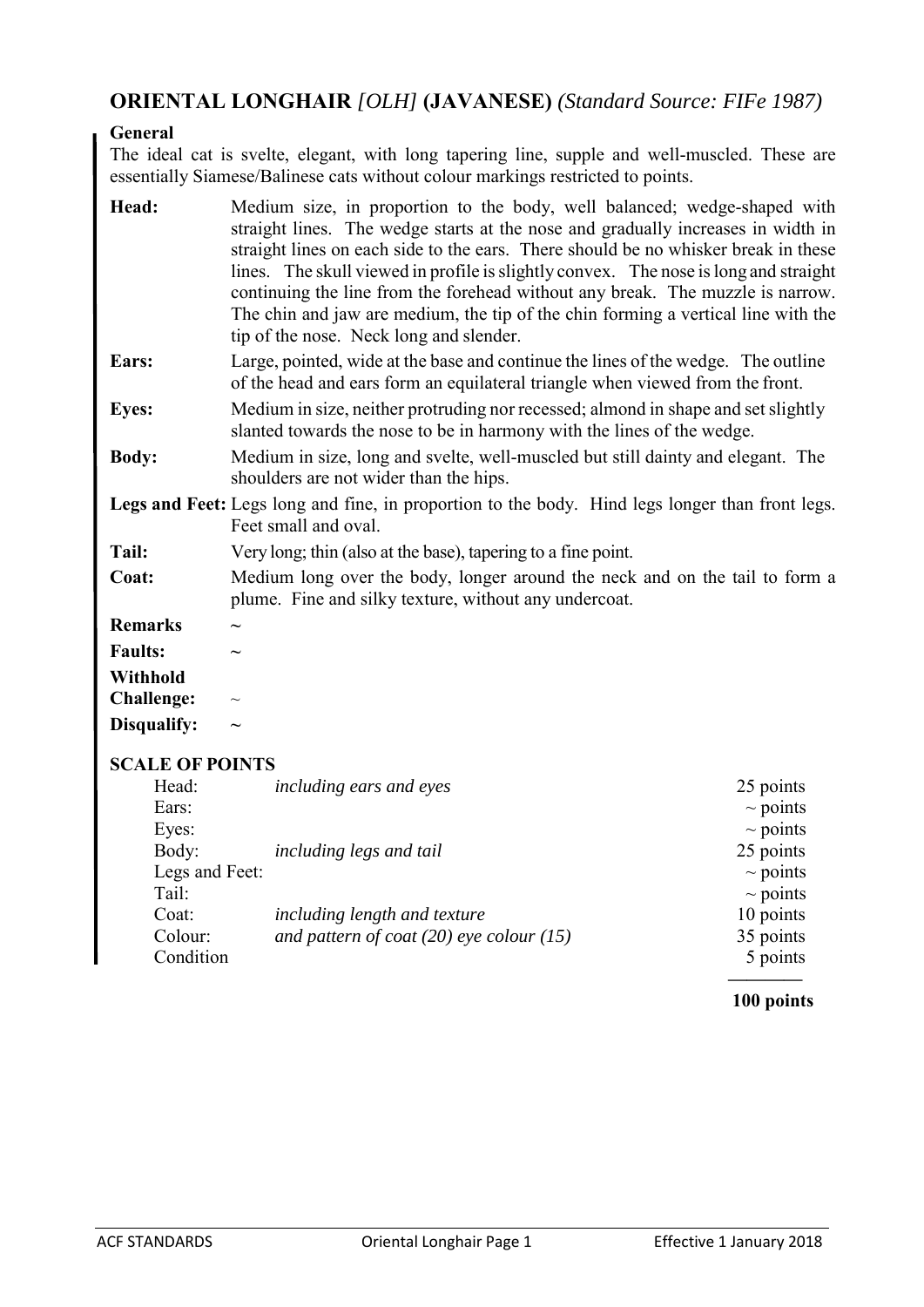## **ORIENTAL LONGHAIR** *[OLH]* **(JAVANESE)** *(Standard Source: FIFe 1987)*

## **General**

The ideal cat is svelte, elegant, with long tapering line, supple and well-muscled. These are essentially Siamese/Balinese cats without colour markings restricted to points.

| Head:                  | Medium size, in proportion to the body, well balanced; wedge-shaped with<br>straight lines. The wedge starts at the nose and gradually increases in width in<br>straight lines on each side to the ears. There should be no whisker break in these<br>lines. The skull viewed in profile is slightly convex. The nose is long and straight<br>continuing the line from the forehead without any break. The muzzle is narrow.<br>The chin and jaw are medium, the tip of the chin forming a vertical line with the<br>tip of the nose. Neck long and slender. |               |
|------------------------|--------------------------------------------------------------------------------------------------------------------------------------------------------------------------------------------------------------------------------------------------------------------------------------------------------------------------------------------------------------------------------------------------------------------------------------------------------------------------------------------------------------------------------------------------------------|---------------|
| Ears:                  | Large, pointed, wide at the base and continue the lines of the wedge. The outline<br>of the head and ears form an equilateral triangle when viewed from the front.                                                                                                                                                                                                                                                                                                                                                                                           |               |
| <b>Eyes:</b>           | Medium in size, neither protruding nor recessed; almond in shape and set slightly<br>slanted towards the nose to be in harmony with the lines of the wedge.                                                                                                                                                                                                                                                                                                                                                                                                  |               |
| <b>Body:</b>           | Medium in size, long and svelte, well-muscled but still dainty and elegant. The<br>shoulders are not wider than the hips.                                                                                                                                                                                                                                                                                                                                                                                                                                    |               |
|                        | Legs and Feet: Legs long and fine, in proportion to the body. Hind legs longer than front legs.<br>Feet small and oval.                                                                                                                                                                                                                                                                                                                                                                                                                                      |               |
| Tail:                  | Very long; thin (also at the base), tapering to a fine point.                                                                                                                                                                                                                                                                                                                                                                                                                                                                                                |               |
| Coat:                  | Medium long over the body, longer around the neck and on the tail to form a<br>plume. Fine and silky texture, without any undercoat.                                                                                                                                                                                                                                                                                                                                                                                                                         |               |
| <b>Remarks</b>         |                                                                                                                                                                                                                                                                                                                                                                                                                                                                                                                                                              |               |
| <b>Faults:</b>         |                                                                                                                                                                                                                                                                                                                                                                                                                                                                                                                                                              |               |
| <b>Withhold</b>        |                                                                                                                                                                                                                                                                                                                                                                                                                                                                                                                                                              |               |
| <b>Challenge:</b>      |                                                                                                                                                                                                                                                                                                                                                                                                                                                                                                                                                              |               |
| Disqualify:            |                                                                                                                                                                                                                                                                                                                                                                                                                                                                                                                                                              |               |
| <b>SCALE OF POINTS</b> |                                                                                                                                                                                                                                                                                                                                                                                                                                                                                                                                                              |               |
| Head:                  | including ears and eyes                                                                                                                                                                                                                                                                                                                                                                                                                                                                                                                                      | 25 points     |
| Ears:                  |                                                                                                                                                                                                                                                                                                                                                                                                                                                                                                                                                              | $\sim$ points |
| Eyes:                  |                                                                                                                                                                                                                                                                                                                                                                                                                                                                                                                                                              | $\sim$ points |
| Body:                  | including legs and tail                                                                                                                                                                                                                                                                                                                                                                                                                                                                                                                                      | 25 points     |
| Legs and Feet:         |                                                                                                                                                                                                                                                                                                                                                                                                                                                                                                                                                              | $\sim$ points |
| Tail:                  |                                                                                                                                                                                                                                                                                                                                                                                                                                                                                                                                                              | $\sim$ points |
| Coat:                  | including length and texture                                                                                                                                                                                                                                                                                                                                                                                                                                                                                                                                 | 10 points     |
| Colour:                | and pattern of coat $(20)$ eye colour $(15)$                                                                                                                                                                                                                                                                                                                                                                                                                                                                                                                 | 35 points     |
| Condition              |                                                                                                                                                                                                                                                                                                                                                                                                                                                                                                                                                              | 5 points      |

## **———— 100 points**